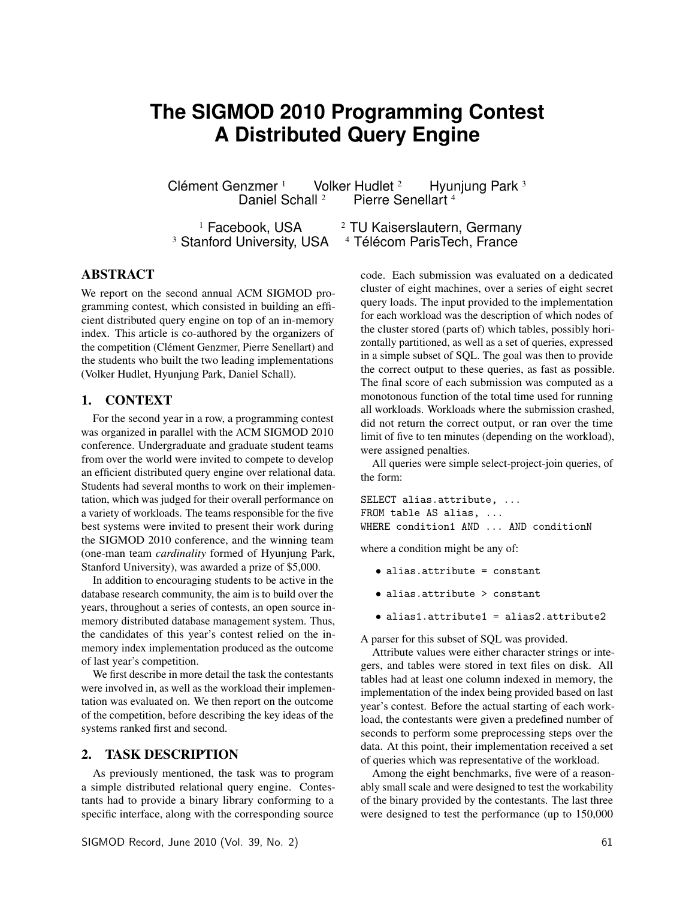# **The SIGMOD 2010 Programming Contest A Distributed Query Engine**

Clément Genzmer <sup>1</sup> Volker Hudlet <sup>2</sup> Hyunjung Park <sup>3</sup><br>Daniel Schall <sup>2</sup> Pierre Senellart <sup>4</sup> Pierre Senellart<sup>4</sup>

<sup>1</sup> Facebook, USA  $\qquad$ <sup>2</sup> TU Kaiserslautern, Germany <sup>3</sup> Stanford University, USA <sup>4</sup> Télécom ParisTech, France

## ABSTRACT

We report on the second annual ACM SIGMOD programming contest, which consisted in building an efficient distributed query engine on top of an in-memory index. This article is co-authored by the organizers of the competition (Clément Genzmer, Pierre Senellart) and the students who built the two leading implementations (Volker Hudlet, Hyunjung Park, Daniel Schall).

## 1. CONTEXT

For the second year in a row, a programming contest was organized in parallel with the ACM SIGMOD 2010 conference. Undergraduate and graduate student teams from over the world were invited to compete to develop an efficient distributed query engine over relational data. Students had several months to work on their implementation, which was judged for their overall performance on a variety of workloads. The teams responsible for the five best systems were invited to present their work during the SIGMOD 2010 conference, and the winning team (one-man team *cardinality* formed of Hyunjung Park, Stanford University), was awarded a prize of \$5,000.

In addition to encouraging students to be active in the database research community, the aim is to build over the years, throughout a series of contests, an open source inmemory distributed database management system. Thus, the candidates of this year's contest relied on the inmemory index implementation produced as the outcome of last year's competition.

We first describe in more detail the task the contestants were involved in, as well as the workload their implementation was evaluated on. We then report on the outcome of the competition, before describing the key ideas of the systems ranked first and second.

## 2. TASK DESCRIPTION

As previously mentioned, the task was to program a simple distributed relational query engine. Contestants had to provide a binary library conforming to a specific interface, along with the corresponding source

 $SIGMOD\text{ Record}$ , June 2010 (Vol. 39, No. 2) 61

code. Each submission was evaluated on a dedicated cluster of eight machines, over a series of eight secret query loads. The input provided to the implementation for each workload was the description of which nodes of the cluster stored (parts of) which tables, possibly horizontally partitioned, as well as a set of queries, expressed in a simple subset of SQL. The goal was then to provide the correct output to these queries, as fast as possible. The final score of each submission was computed as a monotonous function of the total time used for running all workloads. Workloads where the submission crashed, did not return the correct output, or ran over the time limit of five to ten minutes (depending on the workload), were assigned penalties.

All queries were simple select-project-join queries, of the form:

SELECT alias.attribute, ... FROM table AS alias, ... WHERE condition1 AND ... AND conditionN

where a condition might be any of:

- alias.attribute = constant
- alias.attribute > constant
- alias1.attribute1 = alias2.attribute2

A parser for this subset of SQL was provided.

Attribute values were either character strings or integers, and tables were stored in text files on disk. All tables had at least one column indexed in memory, the implementation of the index being provided based on last year's contest. Before the actual starting of each workload, the contestants were given a predefined number of seconds to perform some preprocessing steps over the data. At this point, their implementation received a set of queries which was representative of the workload.

Among the eight benchmarks, five were of a reasonably small scale and were designed to test the workability of the binary provided by the contestants. The last three were designed to test the performance (up to 150,000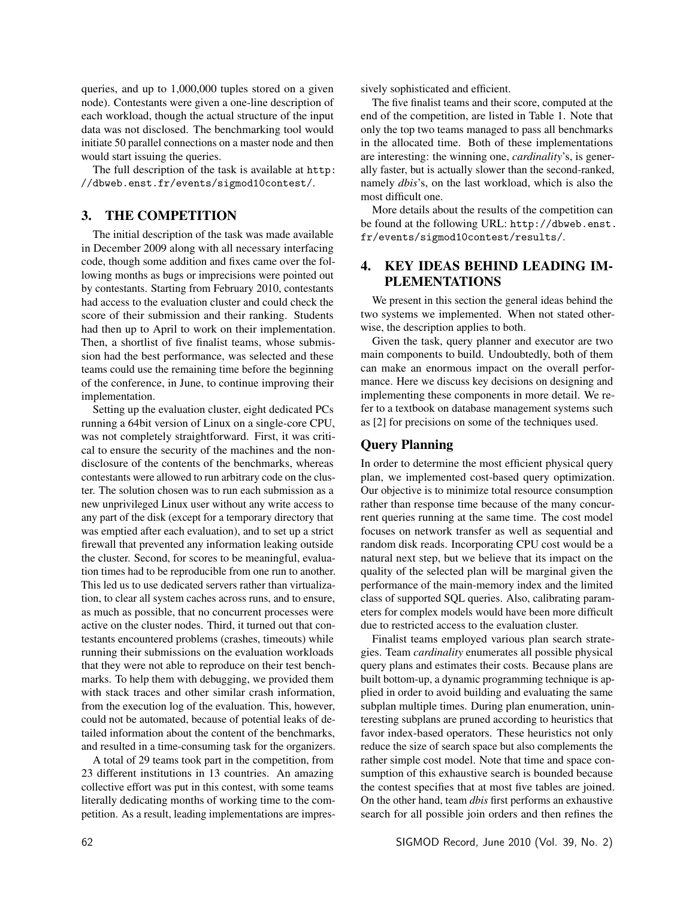queries, and up to 1,000,000 tuples stored on a given node). Contestants were given a one-line description of each workload, though the actual structure of the input data was not disclosed. The benchmarking tool would initiate 50 parallel connections on a master node and then would start issuing the queries.

The full description of the task is available at http: //dbweb.enst.fr/events/sigmod10contest/.

## 3. THE COMPETITION

The initial description of the task was made available in December 2009 along with all necessary interfacing code, though some addition and fixes came over the following months as bugs or imprecisions were pointed out by contestants. Starting from February 2010, contestants had access to the evaluation cluster and could check the score of their submission and their ranking. Students had then up to April to work on their implementation. Then, a shortlist of five finalist teams, whose submission had the best performance, was selected and these teams could use the remaining time before the beginning of the conference, in June, to continue improving their implementation.

Setting up the evaluation cluster, eight dedicated PCs running a 64bit version of Linux on a single-core CPU, was not completely straightforward. First, it was critical to ensure the security of the machines and the nondisclosure of the contents of the benchmarks, whereas contestants were allowed to run arbitrary code on the cluster. The solution chosen was to run each submission as a new unprivileged Linux user without any write access to any part of the disk (except for a temporary directory that was emptied after each evaluation), and to set up a strict firewall that prevented any information leaking outside the cluster. Second, for scores to be meaningful, evaluation times had to be reproducible from one run to another. This led us to use dedicated servers rather than virtualization, to clear all system caches across runs, and to ensure, as much as possible, that no concurrent processes were active on the cluster nodes. Third, it turned out that contestants encountered problems (crashes, timeouts) while running their submissions on the evaluation workloads that they were not able to reproduce on their test benchmarks. To help them with debugging, we provided them with stack traces and other similar crash information, from the execution log of the evaluation. This, however, could not be automated, because of potential leaks of detailed information about the content of the benchmarks, and resulted in a time-consuming task for the organizers.

A total of 29 teams took part in the competition, from 23 different institutions in 13 countries. An amazing collective effort was put in this contest, with some teams literally dedicating months of working time to the competition. As a result, leading implementations are impressively sophisticated and efficient.

The five finalist teams and their score, computed at the end of the competition, are listed in Table 1. Note that only the top two teams managed to pass all benchmarks in the allocated time. Both of these implementations are interesting: the winning one, *cardinality*'s, is generally faster, but is actually slower than the second-ranked, namely *dbis*'s, on the last workload, which is also the most difficult one.

More details about the results of the competition can be found at the following URL: http://dbweb.enst. fr/events/sigmod10contest/results/.

# 4. KEY IDEAS BEHIND LEADING IM-PLEMENTATIONS

We present in this section the general ideas behind the two systems we implemented. When not stated otherwise, the description applies to both.

Given the task, query planner and executor are two main components to build. Undoubtedly, both of them can make an enormous impact on the overall performance. Here we discuss key decisions on designing and implementing these components in more detail. We refer to a textbook on database management systems such as [2] for precisions on some of the techniques used.

#### Query Planning

In order to determine the most efficient physical query plan, we implemented cost-based query optimization. Our objective is to minimize total resource consumption rather than response time because of the many concurrent queries running at the same time. The cost model focuses on network transfer as well as sequential and random disk reads. Incorporating CPU cost would be a natural next step, but we believe that its impact on the quality of the selected plan will be marginal given the performance of the main-memory index and the limited class of supported SQL queries. Also, calibrating parameters for complex models would have been more difficult due to restricted access to the evaluation cluster.

Finalist teams employed various plan search strategies. Team *cardinality* enumerates all possible physical query plans and estimates their costs. Because plans are built bottom-up, a dynamic programming technique is applied in order to avoid building and evaluating the same subplan multiple times. During plan enumeration, uninteresting subplans are pruned according to heuristics that favor index-based operators. These heuristics not only reduce the size of search space but also complements the rather simple cost model. Note that time and space consumption of this exhaustive search is bounded because the contest specifies that at most five tables are joined. On the other hand, team *dbis* first performs an exhaustive search for all possible join orders and then refines the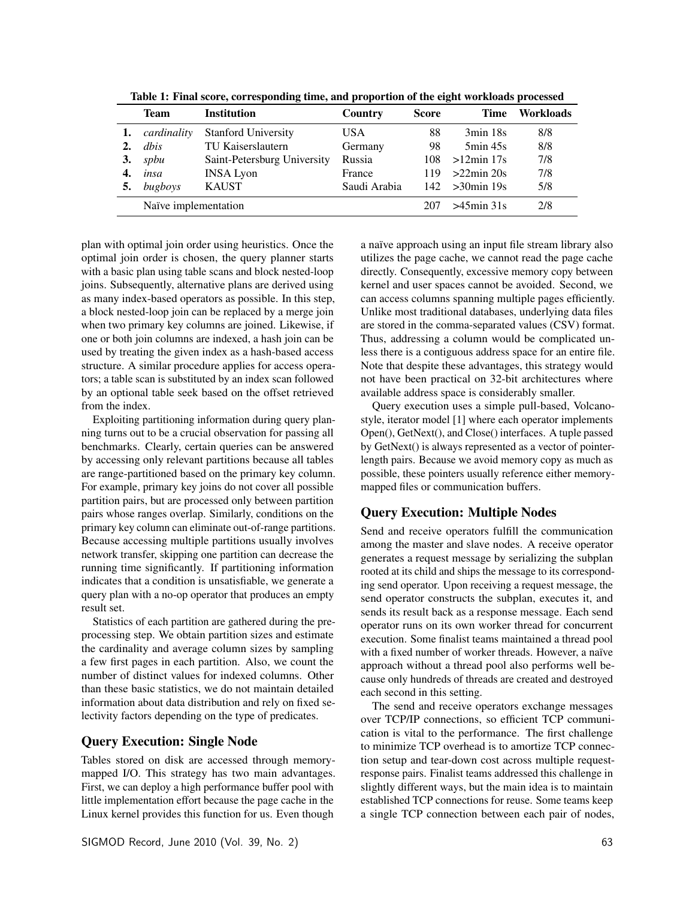| <b>Team</b>          | <b>Institution</b>          | Country      | <b>Score</b> | <b>Time</b>        | Workloads |
|----------------------|-----------------------------|--------------|--------------|--------------------|-----------|
| cardinality          | <b>Stanford University</b>  | USA          | 88           | $3min$ 18s         | 8/8       |
| dhis                 | TU Kaiserslautern           | Germany      | 98           | $5\text{min}$ 45s  | 8/8       |
| spbu                 | Saint-Petersburg University | Russia       | 108          | $>12$ min 17s      | 7/8       |
| insa                 | <b>INSA Lyon</b>            | France       | 119          | $>22$ min 20s      | 7/8       |
| bugboys              | <b>KAUST</b>                | Saudi Arabia |              | $142 > 30$ min 19s | 5/8       |
| Naïve implementation |                             |              | 207          | $>45$ min 31s      | 2/8       |

Table 1: Final score, corresponding time, and proportion of the eight workloads processed

plan with optimal join order using heuristics. Once the optimal join order is chosen, the query planner starts with a basic plan using table scans and block nested-loop joins. Subsequently, alternative plans are derived using as many index-based operators as possible. In this step, a block nested-loop join can be replaced by a merge join when two primary key columns are joined. Likewise, if one or both join columns are indexed, a hash join can be used by treating the given index as a hash-based access structure. A similar procedure applies for access operators; a table scan is substituted by an index scan followed by an optional table seek based on the offset retrieved from the index.

Exploiting partitioning information during query planning turns out to be a crucial observation for passing all benchmarks. Clearly, certain queries can be answered by accessing only relevant partitions because all tables are range-partitioned based on the primary key column. For example, primary key joins do not cover all possible partition pairs, but are processed only between partition pairs whose ranges overlap. Similarly, conditions on the primary key column can eliminate out-of-range partitions. Because accessing multiple partitions usually involves network transfer, skipping one partition can decrease the running time significantly. If partitioning information indicates that a condition is unsatisfiable, we generate a query plan with a no-op operator that produces an empty result set.

Statistics of each partition are gathered during the preprocessing step. We obtain partition sizes and estimate the cardinality and average column sizes by sampling a few first pages in each partition. Also, we count the number of distinct values for indexed columns. Other than these basic statistics, we do not maintain detailed information about data distribution and rely on fixed selectivity factors depending on the type of predicates.

# Query Execution: Single Node

Tables stored on disk are accessed through memorymapped I/O. This strategy has two main advantages. First, we can deploy a high performance buffer pool with little implementation effort because the page cache in the Linux kernel provides this function for us. Even though

a naïve approach using an input file stream library also utilizes the page cache, we cannot read the page cache directly. Consequently, excessive memory copy between kernel and user spaces cannot be avoided. Second, we can access columns spanning multiple pages efficiently. Unlike most traditional databases, underlying data files are stored in the comma-separated values (CSV) format. Thus, addressing a column would be complicated unless there is a contiguous address space for an entire file. Note that despite these advantages, this strategy would not have been practical on 32-bit architectures where available address space is considerably smaller.

Query execution uses a simple pull-based, Volcanostyle, iterator model [1] where each operator implements Open(), GetNext(), and Close() interfaces. A tuple passed by GetNext() is always represented as a vector of pointerlength pairs. Because we avoid memory copy as much as possible, these pointers usually reference either memorymapped files or communication buffers.

# Query Execution: Multiple Nodes

Send and receive operators fulfill the communication among the master and slave nodes. A receive operator generates a request message by serializing the subplan rooted at its child and ships the message to its corresponding send operator. Upon receiving a request message, the send operator constructs the subplan, executes it, and sends its result back as a response message. Each send operator runs on its own worker thread for concurrent execution. Some finalist teams maintained a thread pool with a fixed number of worker threads. However, a naïve approach without a thread pool also performs well because only hundreds of threads are created and destroyed each second in this setting.

The send and receive operators exchange messages over TCP/IP connections, so efficient TCP communication is vital to the performance. The first challenge to minimize TCP overhead is to amortize TCP connection setup and tear-down cost across multiple requestresponse pairs. Finalist teams addressed this challenge in slightly different ways, but the main idea is to maintain established TCP connections for reuse. Some teams keep a single TCP connection between each pair of nodes,